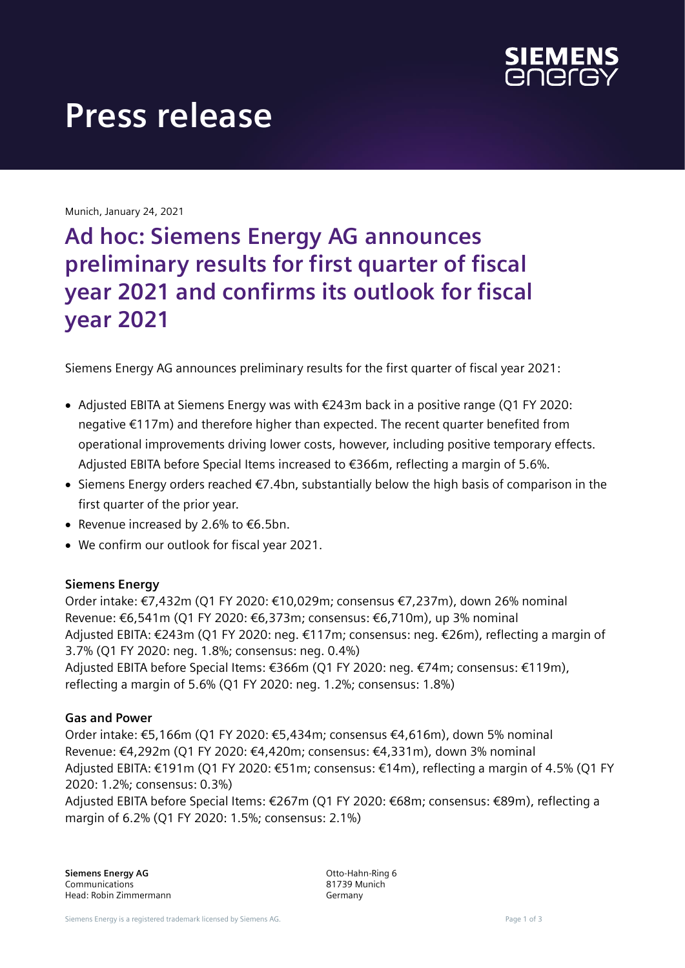

# **Press release**

Munich, January 24, 2021

## **Ad hoc: Siemens Energy AG announces preliminary results for first quarter of fiscal year 2021 and confirms its outlook for fiscal year 2021**

Siemens Energy AG announces preliminary results for the first quarter of fiscal year 2021:

- Adjusted EBITA at Siemens Energy was with €243m back in a positive range (Q1 FY 2020: negative €117m) and therefore higher than expected. The recent quarter benefited from operational improvements driving lower costs, however, including positive temporary effects. Adjusted EBITA before Special Items increased to €366m, reflecting a margin of 5.6%.
- Siemens Energy orders reached €7.4bn, substantially below the high basis of comparison in the first quarter of the prior year.
- Revenue increased by 2.6% to  $\epsilon$ 6.5bn.
- We confirm our outlook for fiscal year 2021.

### **Siemens Energy**

Order intake: €7,432m (Q1 FY 2020: €10,029m; consensus €7,237m), down 26% nominal Revenue: €6,541m (Q1 FY 2020: €6,373m; consensus: €6,710m), up 3% nominal Adjusted EBITA: €243m (Q1 FY 2020: neg. €117m; consensus: neg. €26m), reflecting a margin of 3.7% (Q1 FY 2020: neg. 1.8%; consensus: neg. 0.4%) Adjusted EBITA before Special Items: €366m (Q1 FY 2020: neg. €74m; consensus: €119m), reflecting a margin of 5.6% (Q1 FY 2020: neg. 1.2%; consensus: 1.8%)

#### **Gas and Power**

Order intake: €5,166m (Q1 FY 2020: €5,434m; consensus €4,616m), down 5% nominal Revenue: €4,292m (Q1 FY 2020: €4,420m; consensus: €4,331m), down 3% nominal Adjusted EBITA: €191m (Q1 FY 2020: €51m; consensus: €14m), reflecting a margin of 4.5% (Q1 FY 2020: 1.2%; consensus: 0.3%)

Adjusted EBITA before Special Items: €267m (Q1 FY 2020: €68m; consensus: €89m), reflecting a margin of 6.2% (Q1 FY 2020: 1.5%; consensus: 2.1%)

Otto-Hahn-Ring 6 81739 Munich Germany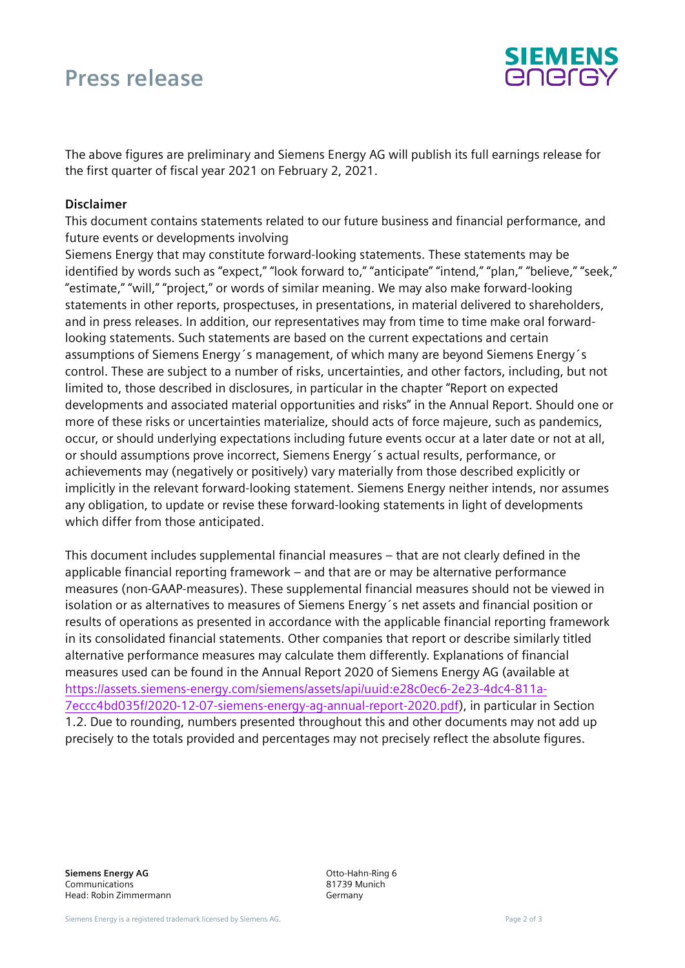### **Press release**



The above figures are preliminary and Siemens Energy AG will publish its full earnings release for the first quarter of fiscal year 2021 on February 2, 2021.

#### **Disclaimer**

This document contains statements related to our future business and financial performance, and future events or developments involving

Siemens Energy that may constitute forward-looking statements. These statements may be identified by words such as "expect," "look forward to," "anticipate" "intend," "plan," "believe," "seek," "estimate," "will," "project," or words of similar meaning. We may also make forward-looking statements in other reports, prospectuses, in presentations, in material delivered to shareholders, and in press releases. In addition, our representatives may from time to time make oral forwardlooking statements. Such statements are based on the current expectations and certain assumptions of Siemens Energy´s management, of which many are beyond Siemens Energy´s control. These are subject to a number of risks, uncertainties, and other factors, including, but not limited to, those described in disclosures, in particular in the chapter "Report on expected developments and associated material opportunities and risks" in the Annual Report. Should one or more of these risks or uncertainties materialize, should acts of force majeure, such as pandemics, occur, or should underlying expectations including future events occur at a later date or not at all, or should assumptions prove incorrect, Siemens Energy´s actual results, performance, or achievements may (negatively or positively) vary materially from those described explicitly or implicitly in the relevant forward-looking statement. Siemens Energy neither intends, nor assumes any obligation, to update or revise these forward-looking statements in light of developments which differ from those anticipated.

This document includes supplemental financial measures – that are not clearly defined in the applicable financial reporting framework – and that are or may be alternative performance measures (non-GAAP-measures). These supplemental financial measures should not be viewed in isolation or as alternatives to measures of Siemens Energy´s net assets and financial position or results of operations as presented in accordance with the applicable financial reporting framework in its consolidated financial statements. Other companies that report or describe similarly titled alternative performance measures may calculate them differently. Explanations of financial measures used can be found in the Annual Report 2020 of Siemens Energy AG (available at [https://assets.siemens-energy.com/siemens/assets/api/uuid:e28c0ec6-2e23-4dc4-811a-](https://assets.siemens-energy.com/siemens/assets/api/uuid:e28c0ec6-2e23-4dc4-811a-7eccc4bd035f/2020-12-07-siemens-energy-ag-annual-report-2020.pdf)[7eccc4bd035f/2020-12-07-siemens-energy-ag-annual-report-2020.pdf\)](https://assets.siemens-energy.com/siemens/assets/api/uuid:e28c0ec6-2e23-4dc4-811a-7eccc4bd035f/2020-12-07-siemens-energy-ag-annual-report-2020.pdf), in particular in Section 1.2. Due to rounding, numbers presented throughout this and other documents may not add up precisely to the totals provided and percentages may not precisely reflect the absolute figures.

**Siemens Energy AG** Communications Head: Robin Zimmermann Otto-Hahn-Ring 6 81739 Munich Germany